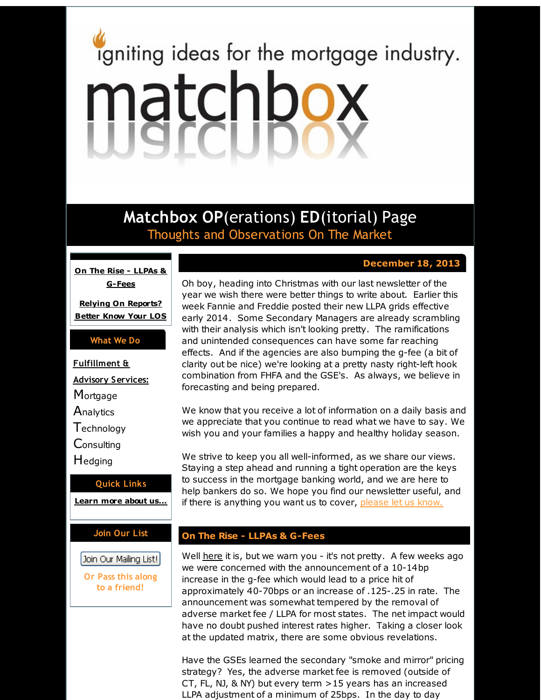# <span id="page-0-0"></span>igniting ideas for the mortgage industry. matchbox

**Matchbox OP**(erations) **ED**(itorial) Page Thoughts and Observations On The Market

**On The Rise - LLPAs & [G-Fees](#page-0-0)**

**Relying On [Reports?](#page-0-0) Better Know Your LOS**

## **What We Do**

**Fulfillment &**

**Advisory Services:**

**Mortgage** 

**Analytics** 

**T**echnology

**Consulting** 

Hedging

#### **Quick Links**

**[Learn](http://r20.rs6.net/tn.jsp?f=001826huR_IciqOXvs3riEGBrxFUwB-HizRIUByLAGm_HD8uywz_7SaFCNoAgOkGAjMPxNVj1s6N6kXexulR790tHpu4vjat0W5M7GxUtaZt2SjZcf9UgILg20NHmj4mPU32yWc8ipAoVXiCDYhmX-xbe7THJWzpDhjnPwhQ7IzuUMNhdC4DwQqoQ==&c=&ch=) more about u[s...](http://r20.rs6.net/tn.jsp?f=001826huR_IciqOXvs3riEGBrxFUwB-HizRIUByLAGm_HD8uywz_7SaFCNoAgOkGAjMPxNVj1s6N6kXexulR790tHpu4vjat0W5M7GxUtaZt2SjZcf9UgILg20NHmj4mPU32yWc8ipAoVXiCDYhmX-xbe7THJWzpDhjnPwhQ7IzuUMNhdC4DwQqoQ==&c=&ch=)**

# **Join Our List**

Join Our Mailing List!

**Or Pass this along to a friend!**

Oh boy, heading into Christmas with our last newsletter of the year we wish there were better things to write about. Earlier this week Fannie and Freddie posted their new LLPA grids effective early 2014. Some Secondary Managers are already scrambling with their analysis which isn't looking pretty. The ramifications and unintended consequences can have some far reaching effects. And if the agencies are also bumping the g-fee (a bit of clarity out be nice) we're looking at a pretty nasty right-left hook combination from FHFA and the GSE's. As always, we believe in

We know that you receive a lot of information on a daily basis and we appreciate that you continue to read what we have to say. We wish you and your families a happy and healthy holiday season.

We strive to keep you all well-informed, as we share our views. Staying a step ahead and running a tight operation are the keys to success in the mortgage banking world, and we are here to help bankers do so. We hope you find our newsletter useful, and if there is anything you want us to cover, [please](http://r20.rs6.net/tn.jsp?f=001826huR_IciqOXvs3riEGBrxFUwB-HizRIUByLAGm_HD8uywz_7SaFD3wG16XuzqifjlDkggvI78r14bModbjUy3YXHz6gp26aNwjn4zTjLMz4ZqT0gacTSJ0TKaDK082n-iRualxRmVkhFqH_Wgcvh0bZ-8bpqrlZ6zU1l_kEpyhwnweJmkOPvnM1X8tDt91&c=&ch=) let us know.

# **On The Rise - LLPAs & G-Fees**

forecasting and being prepared.

Well [here](http://r20.rs6.net/tn.jsp?f=001826huR_IciqOXvs3riEGBrxFUwB-HizRIUByLAGm_HD8uywz_7SaFFCvK3xv_Ay4X0ZCQMpFQsAkaL0ZVlMAurd8RC2jAeJxaKlgkvV9uAQqaXIIVbS0hpkbI2-hRLuj2ytLO77wMc2Ha7ewUOFy0shcDXqtwdRwr7xM0WgG8mZGwHA_JUHkvsw2tKM54NDD8T1OReJcgnMYuyskrWQS4rPQysHYhTni&c=&ch=) it is, but we warn you - it's not pretty. A few weeks ago we were concerned with the announcement of a 10-14bp increase in the g-fee which would lead to a price hit of approximately 40-70bps or an increase of .125-.25 in rate. The announcement was somewhat tempered by the removal of adverse market fee / LLPA for most states. The net impact would have no doubt pushed interest rates higher. Taking a closer look at the updated matrix, there are some obvious revelations.

Have the GSEs learned the secondary "smoke and mirror" pricing strategy? Yes, the adverse market fee is removed (outside of CT, FL, NJ, & NY) but every term >15 years has an increased LLPA adjustment of a minimum of 25bps. In the day to day

# **December 18, 2013**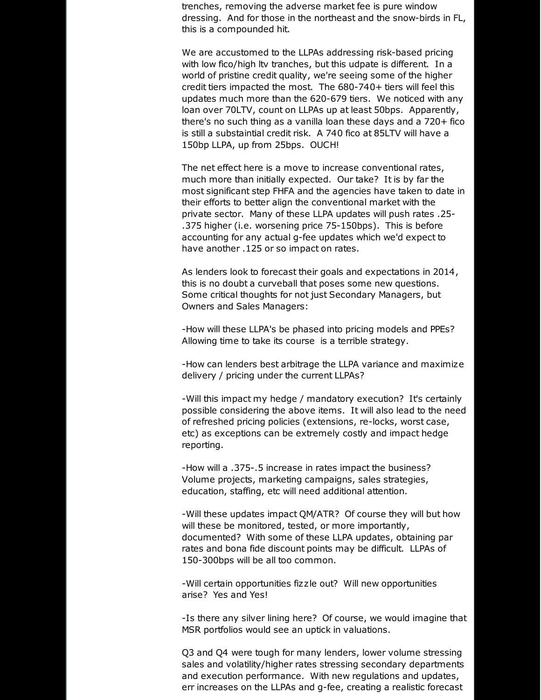trenches, removing the adverse market fee is pure window dressing. And for those in the northeast and the snow-birds in FL, this is a compounded hit.

We are accustomed to the LLPAs addressing risk-based pricing with low fico/high ltv tranches, but this udpate is different. In a world of pristine credit quality, we're seeing some of the higher credit tiers impacted the most. The 680-740+ tiers will feel this updates much more than the 620-679 tiers. We noticed with any loan over 70LTV, count on LLPAs up at least 50bps. Apparently, there's no such thing as a vanilla loan these days and a 720+ fico is still a substaintial credit risk. A 740 fico at 85LTV will have a 150bp LLPA, up from 25bps. OUCH!

The net effect here is a move to increase conventional rates, much more than initially expected. Our take? It is by far the most significant step FHFA and the agencies have taken to date in their efforts to better align the conventional market with the private sector. Many of these LLPA updates will push rates .25- .375 higher (i.e. worsening price 75-150bps). This is before accounting for any actual g-fee updates which we'd expect to have another .125 or so impact on rates.

As lenders look to forecast their goals and expectations in 2014, this is no doubt a curveball that poses some new questions. Some critical thoughts for not just Secondary Managers, but Owners and Sales Managers:

-How will these LLPA's be phased into pricing models and PPEs? Allowing time to take its course is a terrible strategy.

-How can lenders best arbitrage the LLPA variance and maximize delivery / pricing under the current LLPAs?

-Will this impact my hedge / mandatory execution? It's certainly possible considering the above items. It will also lead to the need of refreshed pricing policies (extensions, re-locks, worst case, etc) as exceptions can be extremely costly and impact hedge reporting.

-How will a .375-.5 increase in rates impact the business? Volume projects, marketing campaigns, sales strategies, education, staffing, etc will need additional attention.

-Will these updates impact QM/ATR? Of course they will but how will these be monitored, tested, or more importantly, documented? With some of these LLPA updates, obtaining par rates and bona fide discount points may be difficult. LLPAs of 150-300bps will be all too common.

-Will certain opportunities fizzle out? Will new opportunities arise? Yes and Yes!

-Is there any silver lining here? Of course, we would imagine that MSR portfolios would see an uptick in valuations.

Q3 and Q4 were tough for many lenders, lower volume stressing sales and volatility/higher rates stressing secondary departments and execution performance. With new regulations and updates, err increases on the LLPAs and g-fee, creating a realistic forecast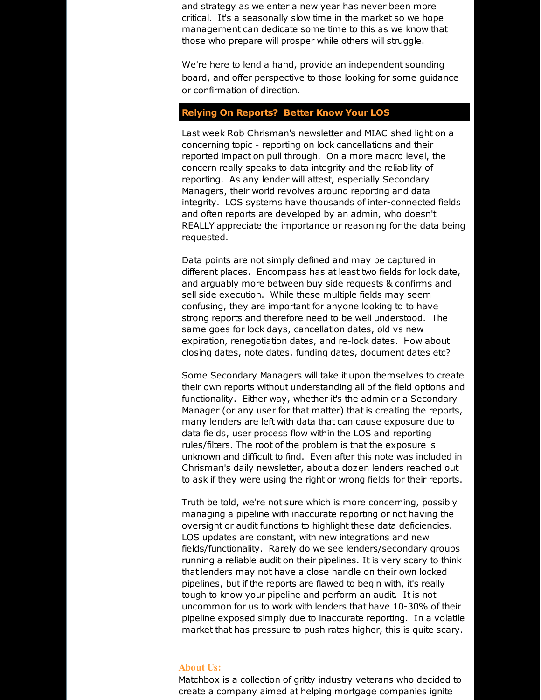and strategy as we enter a new year has never been more critical. It's a seasonally slow time in the market so we hope management can dedicate some time to this as we know that those who prepare will prosper while others will struggle.

We're here to lend a hand, provide an independent sounding board, and offer perspective to those looking for some guidance or confirmation of direction.

## **Relying On Reports? Better Know Your LOS**

Last week Rob Chrisman's newsletter and MIAC shed light on a concerning topic - reporting on lock cancellations and their reported impact on pull through. On a more macro level, the concern really speaks to data integrity and the reliability of reporting. As any lender will attest, especially Secondary Managers, their world revolves around reporting and data integrity. LOS systems have thousands of inter-connected fields and often reports are developed by an admin, who doesn't REALLY appreciate the importance or reasoning for the data being requested.

Data points are not simply defined and may be captured in different places. Encompass has at least two fields for lock date, and arguably more between buy side requests & confirms and sell side execution. While these multiple fields may seem confusing, they are important for anyone looking to to have strong reports and therefore need to be well understood. The same goes for lock days, cancellation dates, old vs new expiration, renegotiation dates, and re-lock dates. How about closing dates, note dates, funding dates, document dates etc?

Some Secondary Managers will take it upon themselves to create their own reports without understanding all of the field options and functionality. Either way, whether it's the admin or a Secondary Manager (or any user for that matter) that is creating the reports, many lenders are left with data that can cause exposure due to data fields, user process flow within the LOS and reporting rules/filters. The root of the problem is that the exposure is unknown and difficult to find. Even after this note was included in Chrisman's daily newsletter, about a dozen lenders reached out to ask if they were using the right or wrong fields for their reports.

Truth be told, we're not sure which is more concerning, possibly managing a pipeline with inaccurate reporting or not having the oversight or audit functions to highlight these data deficiencies. LOS updates are constant, with new integrations and new fields/functionality. Rarely do we see lenders/secondary groups running a reliable audit on their pipelines. It is very scary to think that lenders may not have a close handle on their own locked pipelines, but if the reports are flawed to begin with, it's really tough to know your pipeline and perform an audit. It is not uncommon for us to work with lenders that have 10-30% of their pipeline exposed simply due to inaccurate reporting. In a volatile market that has pressure to push rates higher, this is quite scary.

#### **About Us:**

Matchbox is a collection of gritty industry veterans who decided to create a company aimed at helping mortgage companies ignite